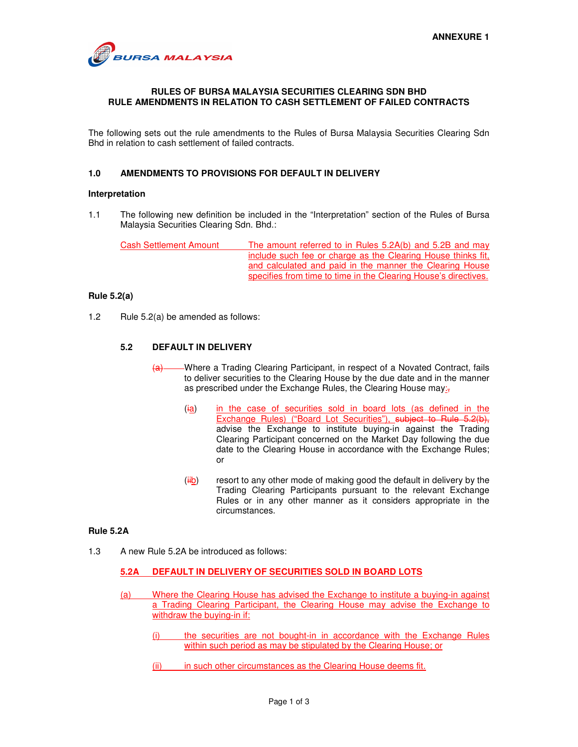

## **RULES OF BURSA MALAYSIA SECURITIES CLEARING SDN BHD RULE AMENDMENTS IN RELATION TO CASH SETTLEMENT OF FAILED CONTRACTS**

The following sets out the rule amendments to the Rules of Bursa Malaysia Securities Clearing Sdn Bhd in relation to cash settlement of failed contracts.

# **1.0 AMENDMENTS TO PROVISIONS FOR DEFAULT IN DELIVERY**

#### **Interpretation**

1.1 The following new definition be included in the "Interpretation" section of the Rules of Bursa Malaysia Securities Clearing Sdn. Bhd.:

Cash Settlement Amount The amount referred to in Rules 5.2A(b) and 5.2B and may include such fee or charge as the Clearing House thinks fit, and calculated and paid in the manner the Clearing House specifies from time to time in the Clearing House's directives.

#### **Rule 5.2(a)**

1.2 Rule 5.2(a) be amended as follows:

#### **5.2 DEFAULT IN DELIVERY**

- -Where a Trading Clearing Participant, in respect of a Novated Contract, fails to deliver securities to the Clearing House by the due date and in the manner as prescribed under the Exchange Rules, the Clearing House may:<sub>5</sub>
	- (ia) in the case of securities sold in board lots (as defined in the Exchange Rules) ("Board Lot Securities"), subject to Rule 5.2(b), advise the Exchange to institute buying-in against the Trading Clearing Participant concerned on the Market Day following the due date to the Clearing House in accordance with the Exchange Rules; or
	- $(iib)$  resort to any other mode of making good the default in delivery by the Trading Clearing Participants pursuant to the relevant Exchange Rules or in any other manner as it considers appropriate in the circumstances.

#### **Rule 5.2A**

1.3 A new Rule 5.2A be introduced as follows:

# **5.2A DEFAULT IN DELIVERY OF SECURITIES SOLD IN BOARD LOTS**

- (a) Where the Clearing House has advised the Exchange to institute a buying-in against a Trading Clearing Participant, the Clearing House may advise the Exchange to withdraw the buying-in if:
	- (i) the securities are not bought-in in accordance with the Exchange Rules within such period as may be stipulated by the Clearing House; or
	- (ii) in such other circumstances as the Clearing House deems fit.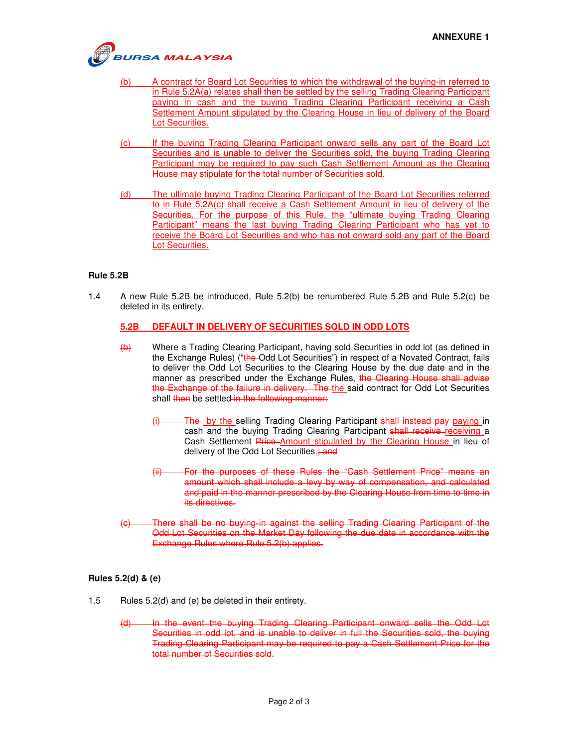

- (b) A contract for Board Lot Securities to which the withdrawal of the buying-in referred to in Rule 5.2A(a) relates shall then be settled by the selling Trading Clearing Participant paying in cash and the buying Trading Clearing Participant receiving a Cash Settlement Amount stipulated by the Clearing House in lieu of delivery of the Board Lot Securities.
- (c) If the buying Trading Clearing Participant onward sells any part of the Board Lot Securities and is unable to deliver the Securities sold, the buying Trading Clearing Participant may be required to pay such Cash Settlement Amount as the Clearing House may stipulate for the total number of Securities sold.
- (d) The ultimate buying Trading Clearing Participant of the Board Lot Securities referred to in Rule 5.2A(c) shall receive a Cash Settlement Amount in lieu of delivery of the Securities. For the purpose of this Rule, the "ultimate buying Trading Clearing Participant" means the last buying Trading Clearing Participant who has yet to receive the Board Lot Securities and who has not onward sold any part of the Board Lot Securities.

# **Rule 5.2B**

1.4 A new Rule 5.2B be introduced, Rule 5.2(b) be renumbered Rule 5.2B and Rule 5.2(c) be deleted in its entirety.

#### **5.2B DEFAULT IN DELIVERY OF SECURITIES SOLD IN ODD LOTS**

- (b) Where a Trading Clearing Participant, having sold Securities in odd lot (as defined in the Exchange Rules) ("the-Odd Lot Securities") in respect of a Novated Contract, fails to deliver the Odd Lot Securities to the Clearing House by the due date and in the manner as prescribed under the Exchange Rules, the Clearing House shall advise the Exchange of the failure in delivery. The the said contract for Odd Lot Securities shall then be settled in the following manner:
	- (i) The by the selling Trading Clearing Participant shall instead pay paying in cash and the buying Trading Clearing Participant shall receive receiving a Cash Settlement Price Amount stipulated by the Clearing House in lieu of delivery of the Odd Lot Securities.; and
	- (ii) For the purposes of these Rules the "Cash Settlement Price" means an amount which shall include a levy by way of compensation, and calculated and paid in the manner prescribed by the Clearing House from time to time in its directives.
- (c) There shall be no buying-in against the selling Trading Clearing Participant of the Odd Lot Securities on the Market Day following the due date in accordance with the Exchange Rules where Rule 5.2(b) applies.

#### **Rules 5.2(d) & (e)**

- 1.5 Rules 5.2(d) and (e) be deleted in their entirety.
	- (d) In the event the buying Trading Clearing Participant onward sells the Odd Lot Securities in odd lot, and is unable to deliver in full the Securities sold, the buying Trading Clearing Participant may be required to pay a Cash Settlement Price for the total number of Securities sold.